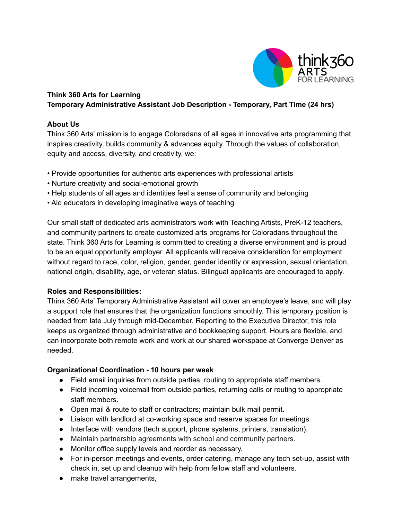

# **Think 360 Arts for Learning Temporary Administrative Assistant Job Description - Temporary, Part Time (24 hrs)**

## **About Us**

Think 360 Arts' mission is to engage Coloradans of all ages in innovative arts programming that inspires creativity, builds community & advances equity. Through the values of collaboration, equity and access, diversity, and creativity, we:

- Provide opportunities for authentic arts experiences with professional artists
- Nurture creativity and social-emotional growth
- Help students of all ages and identities feel a sense of community and belonging
- Aid educators in developing imaginative ways of teaching

Our small staff of dedicated arts administrators work with Teaching Artists, PreK-12 teachers, and community partners to create customized arts programs for Coloradans throughout the state. Think 360 Arts for Learning is committed to creating a diverse environment and is proud to be an equal opportunity employer. All applicants will receive consideration for employment without regard to race, color, religion, gender, gender identity or expression, sexual orientation, national origin, disability, age, or veteran status. Bilingual applicants are encouraged to apply.

## **Roles and Responsibilities:**

Think 360 Arts' Temporary Administrative Assistant will cover an employee's leave, and will play a support role that ensures that the organization functions smoothly. This temporary position is needed from late July through mid-December. Reporting to the Executive Director, this role keeps us organized through administrative and bookkeeping support. Hours are flexible, and can incorporate both remote work and work at our shared workspace at Converge Denver as needed.

## **Organizational Coordination - 10 hours per week**

- Field email inquiries from outside parties, routing to appropriate staff members.
- Field incoming voicemail from outside parties, returning calls or routing to appropriate staff members.
- Open mail & route to staff or contractors; maintain bulk mail permit.
- Liaison with landlord at co-working space and reserve spaces for meetings.
- Interface with vendors (tech support, phone systems, printers, translation).
- Maintain partnership agreements with school and community partners.
- Monitor office supply levels and reorder as necessary.
- For in-person meetings and events, order catering, manage any tech set-up, assist with check in, set up and cleanup with help from fellow staff and volunteers.
- make travel arrangements,